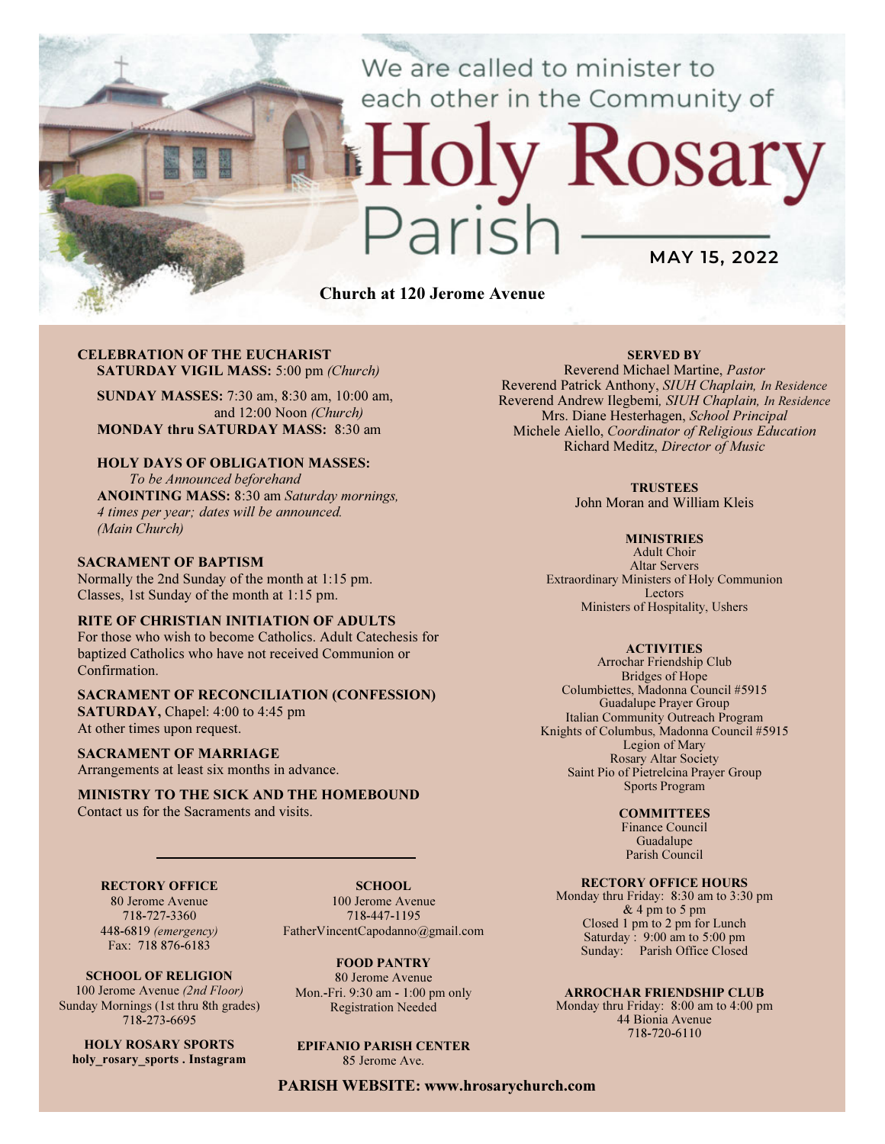# We are called to minister to each other in the Community of

MAY 15, 2022

Rosary

Church at 120 Jerome Avenue

#### CELEBRATION OF THE EUCHARIST SATURDAY VIGIL MASS: 5:00 pm (Church)

SUNDAY MASSES: 7:30 am, 8:30 am, 10:00 am, and 12:00 Noon (Church) MONDAY thru SATURDAY MASS: 8:30 am

## HOLY DAYS OF OBLIGATION MASSES:

To be Announced beforehand ANOINTING MASS: 8:30 am Saturday mornings, 4 times per year; dates will be announced. (Main Church)

#### SACRAMENT OF BAPTISM

Normally the 2nd Sunday of the month at 1:15 pm. Classes, 1st Sunday of the month at 1:15 pm.

#### RITE OF CHRISTIAN INITIATION OF ADULTS

For those who wish to become Catholics. Adult Catechesis for baptized Catholics who have not received Communion or Confirmation.

# SACRAMENT OF RECONCILIATION (CONFESSION)

SATURDAY, Chapel: 4:00 to 4:45 pm At other times upon request.

#### SACRAMENT OF MARRIAGE

Arrangements at least six months in advance.

#### MINISTRY TO THE SICK AND THE HOMEBOUND Contact us for the Sacraments and visits.

## RECTORY OFFICE

80 Jerome Avenue 718-727-3360 448-6819 (emergency) Fax: 718 876-6183

SCHOOL OF RELIGION 100 Jerome Avenue (2nd Floor) Sunday Mornings (1st thru 8th grades) 718-273-6695

HOLY ROSARY SPORTS holy rosary sports . Instagram

SCHOOL. 100 Jerome Avenue 718-447-1195 FatherVincentCapodanno@gmail.com

FOOD PANTRY 80 Jerome Avenue Mon.-Fri. 9:30 am - 1:00 pm only Registration Needed

EPIFANIO PARISH CENTER 85 Jerome Ave.

PARISH WEBSITE: www.hrosarychurch.com

### SERVED BY

Reverend Michael Martine, Pastor Reverend Patrick Anthony, SIUH Chaplain, In Residence Reverend Andrew Ilegbemi, SIUH Chaplain, In Residence Mrs. Diane Hesterhagen, School Principal Michele Aiello, Coordinator of Religious Education Richard Meditz, Director of Music

#### **TRUSTEES**

John Moran and William Kleis

#### **MINISTRIES**

Adult Choir Altar Servers Extraordinary Ministers of Holy Communion Lectors Ministers of Hospitality, Ushers

#### **ACTIVITIES**

Arrochar Friendship Club Bridges of Hope Columbiettes, Madonna Council #5915 Guadalupe Prayer Group Italian Community Outreach Program Knights of Columbus, Madonna Council #5915 Legion of Mary Rosary Altar Society Saint Pio of Pietrelcina Prayer Group Sports Program

#### **COMMITTEES**

Finance Council Guadalupe Parish Council

### RECTORY OFFICE HOURS

Monday thru Friday: 8:30 am to 3:30 pm & 4 pm to 5 pm Closed 1 pm to 2 pm for Lunch Saturday:  $9:00 \text{ am to } 5:00 \text{ pm}$ Sunday: Parish Office Closed

#### ARROCHAR FRIENDSHIP CLUB

Monday thru Friday: 8:00 am to 4:00 pm 44 Bionia Avenue 718-720-6110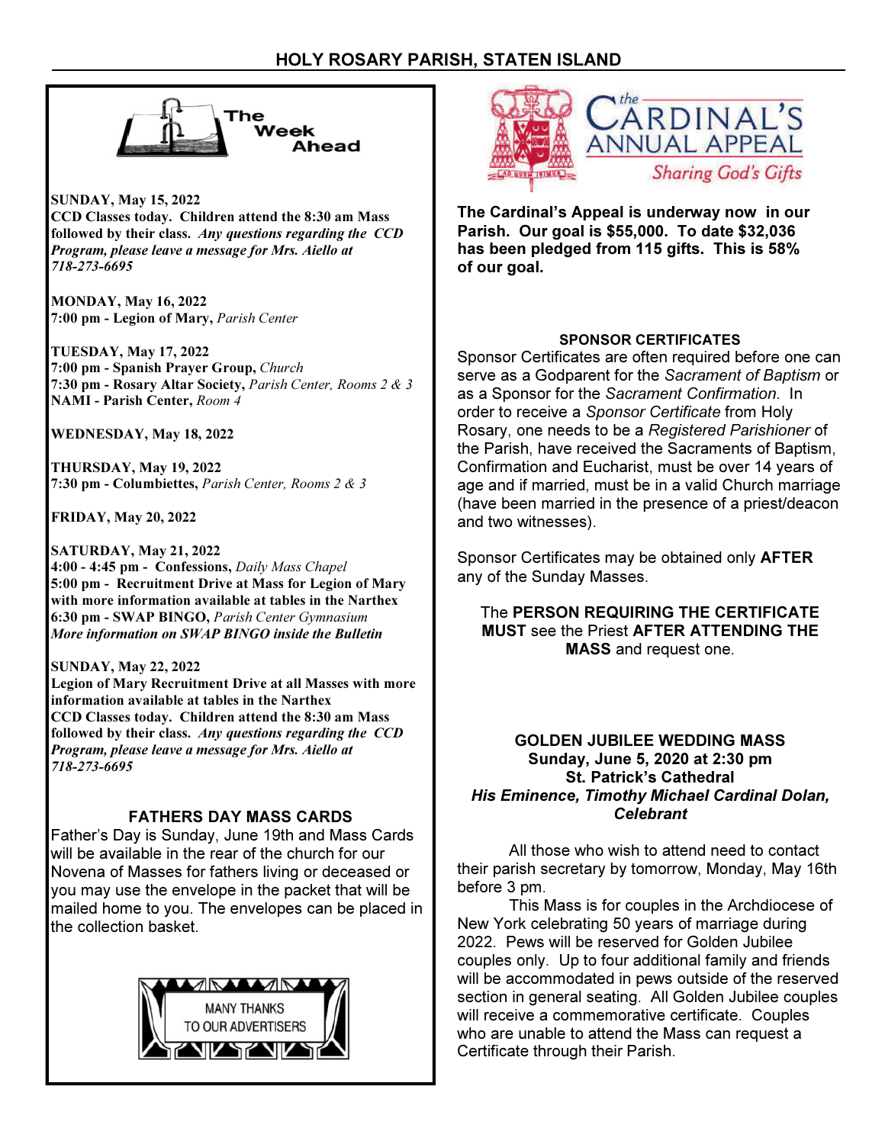

SUNDAY, May 15, 2022 CCD Classes today. Children attend the 8:30 am Mass followed by their class. Any questions regarding the CCD Program, please leave a message for Mrs. Aiello at 718-273-6695

MONDAY, May 16, 2022 7:00 pm - Legion of Mary, Parish Center

TUESDAY, May 17, 2022 7:00 pm - Spanish Prayer Group, Church 7:30 pm - Rosary Altar Society, Parish Center, Rooms 2 & 3 NAMI - Parish Center, Room 4

WEDNESDAY, May 18, 2022

THURSDAY, May 19, 2022 7:30 pm - Columbiettes, Parish Center, Rooms 2 & 3

FRIDAY, May 20, 2022

SATURDAY, May 21, 2022 4:00 - 4:45 pm - Confessions, Daily Mass Chapel 5:00 pm - Recruitment Drive at Mass for Legion of Mary with more information available at tables in the Narthex 6:30 pm - SWAP BINGO, Parish Center Gymnasium More information on SWAP BINGO inside the Bulletin

SUNDAY, May 22, 2022

Legion of Mary Recruitment Drive at all Masses with more information available at tables in the Narthex CCD Classes today. Children attend the 8:30 am Mass followed by their class. Any questions regarding the CCD Program, please leave a message for Mrs. Aiello at 718-273-6695

# FATHERS DAY MASS CARDS

Father's Day is Sunday, June 19th and Mass Cards will be available in the rear of the church for our Novena of Masses for fathers living or deceased or you may use the envelope in the packet that will be mailed home to you. The envelopes can be placed in the collection basket.





The Cardinal's Appeal is underway now in our Parish. Our goal is \$55,000. To date \$32,036 has been pledged from 115 gifts. This is 58% of our goal.

# SPONSOR CERTIFICATES

Sponsor Certificates are often required before one can serve as a Godparent for the Sacrament of Baptism or as a Sponsor for the Sacrament Confirmation. In order to receive a Sponsor Certificate from Holy Rosary, one needs to be a Registered Parishioner of the Parish, have received the Sacraments of Baptism, Confirmation and Eucharist, must be over 14 years of age and if married, must be in a valid Church marriage (have been married in the presence of a priest/deacon and two witnesses).

Sponsor Certificates may be obtained only AFTER any of the Sunday Masses.

The PERSON REQUIRING THE CERTIFICATE MUST see the Priest AFTER ATTENDING THE MASS and request one.

# GOLDEN JUBILEE WEDDING MASS Sunday, June 5, 2020 at 2:30 pm St. Patrick's Cathedral His Eminence, Timothy Michael Cardinal Dolan, Celebrant

 All those who wish to attend need to contact their parish secretary by tomorrow, Monday, May 16th before 3 pm.

 This Mass is for couples in the Archdiocese of New York celebrating 50 years of marriage during 2022. Pews will be reserved for Golden Jubilee couples only. Up to four additional family and friends will be accommodated in pews outside of the reserved section in general seating. All Golden Jubilee couples will receive a commemorative certificate. Couples who are unable to attend the Mass can request a Certificate through their Parish.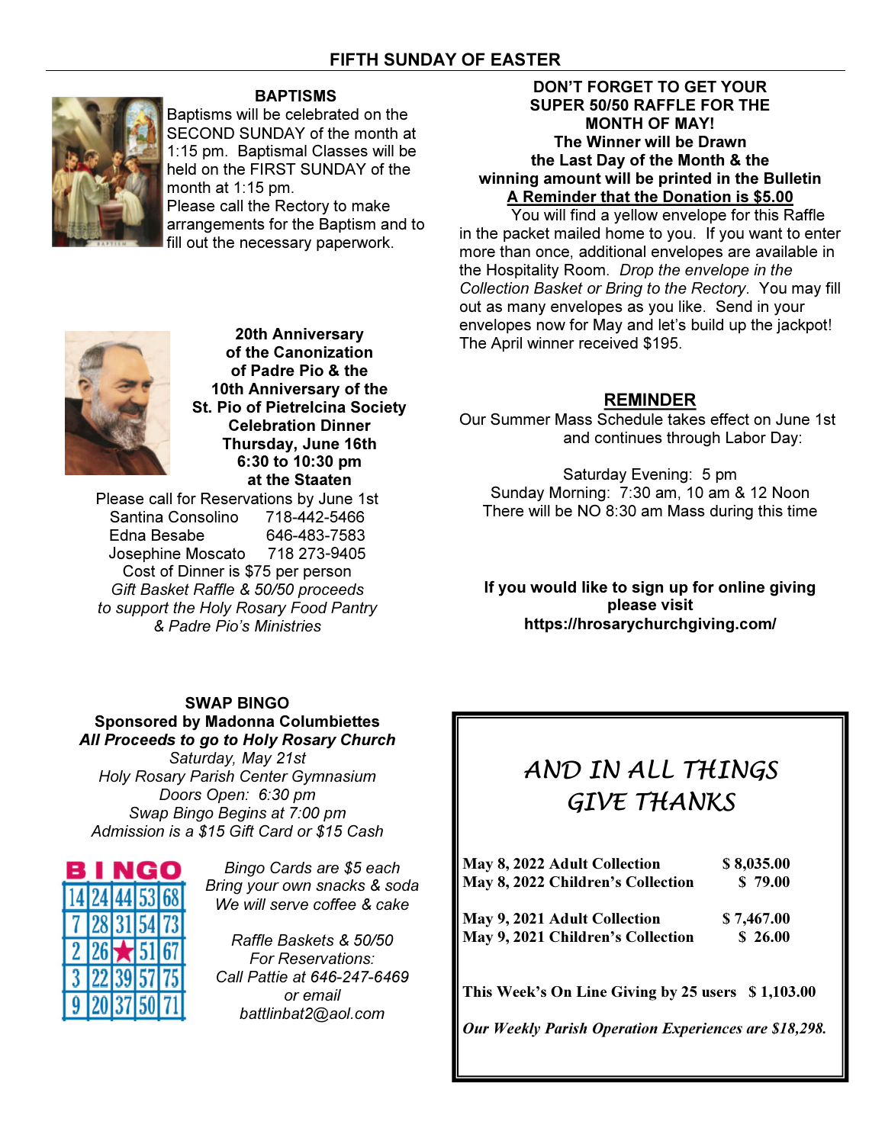

# BAPTISMS

Baptisms will be celebrated on the SECOND SUNDAY of the month at 1:15 pm. Baptismal Classes will be held on the FIRST SUNDAY of the month at 1:15 pm. Please call the Rectory to make arrangements for the Baptism and to fill out the necessary paperwork.

# DON'T FORGET TO GET YOUR SUPER 50/50 RAFFLE FOR THE MONTH OF MAY! The Winner will be Drawn the Last Day of the Month & the winning amount will be printed in the Bulletin A Reminder that the Donation is \$5.00

 You will find a yellow envelope for this Raffle in the packet mailed home to you. If you want to enter more than once, additional envelopes are available in the Hospitality Room. Drop the envelope in the Collection Basket or Bring to the Rectory. You may fill out as many envelopes as you like. Send in your envelopes now for May and let's build up the jackpot! The April winner received \$195.

# REMINDER

Our Summer Mass Schedule takes effect on June 1st and continues through Labor Day:

Saturday Evening: 5 pm Sunday Morning: 7:30 am, 10 am & 12 Noon There will be NO 8:30 am Mass during this time

If you would like to sign up for online giving please visit https://hrosarychurchgiving.com/

20th Anniversary of the Canonization of Padre Pio & the 10th Anniversary of the St. Pio of Pietrelcina Society Celebration Dinner Thursday, June 16th 6:30 to 10:30 pm at the Staaten

Please call for Reservations by June 1st Santina Consolino 718-442-5466 Edna Besabe 646-483-7583 Josephine Moscato 718 273-9405 Cost of Dinner is \$75 per person Gift Basket Raffle & 50/50 proceeds to support the Holy Rosary Food Pantry & Padre Pio's Ministries

# SWAP BINGO

# Sponsored by Madonna Columbiettes All Proceeds to go to Holy Rosary Church

Saturday, May 21st Holy Rosary Parish Center Gymnasium Doors Open: 6:30 pm Swap Bingo Begins at 7:00 pm Admission is a \$15 Gift Card or \$15 Cash



Bingo Cards are \$5 each Bring your own snacks & soda We will serve coffee & cake

Raffle Baskets & 50/50 For Reservations: Call Pattie at 646-247-6469 or email battlinbat2@aol.com

# AND IN ALL THINGS GIVE THANKS

| May 8, 2022 Adult Collection<br>May 8, 2022 Children's Collection | \$8,035.00<br>\$79.00 |
|-------------------------------------------------------------------|-----------------------|
| May 9, 2021 Adult Collection                                      | \$7,467.00            |
| May 9, 2021 Children's Collection                                 | \$26.00               |
|                                                                   |                       |

This Week's On Line Giving by 25 users \$1,103.00

Our Weekly Parish Operation Experiences are \$18,298.